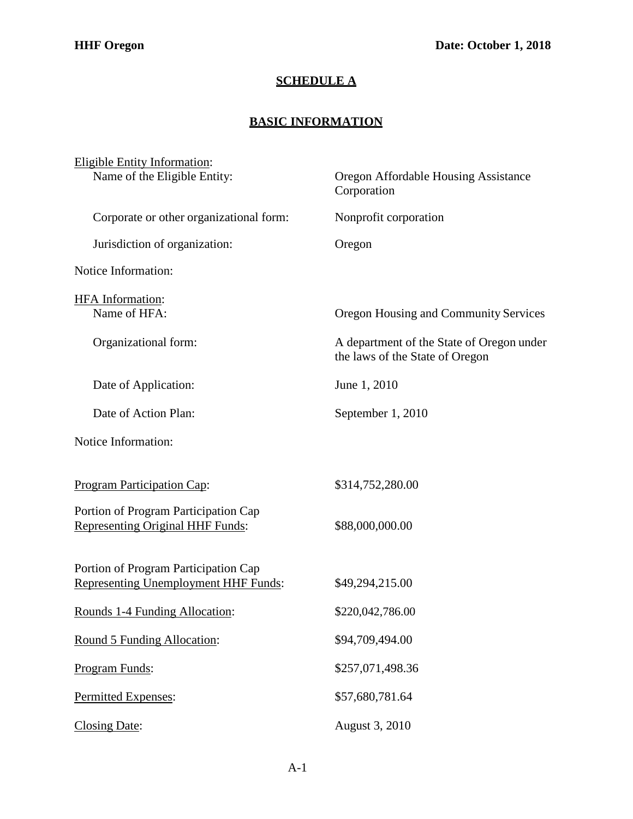## **SCHEDULE A**

## **BASIC INFORMATION**

| <b>Eligible Entity Information:</b><br>Name of the Eligible Entity:      | <b>Oregon Affordable Housing Assistance</b>                                  |
|--------------------------------------------------------------------------|------------------------------------------------------------------------------|
|                                                                          | Corporation                                                                  |
| Corporate or other organizational form:                                  | Nonprofit corporation                                                        |
| Jurisdiction of organization:                                            | Oregon                                                                       |
| Notice Information:                                                      |                                                                              |
| HFA Information:                                                         |                                                                              |
| Name of HFA:                                                             | Oregon Housing and Community Services                                        |
| Organizational form:                                                     | A department of the State of Oregon under<br>the laws of the State of Oregon |
| Date of Application:                                                     | June 1, 2010                                                                 |
| Date of Action Plan:                                                     | September 1, 2010                                                            |
| Notice Information:                                                      |                                                                              |
|                                                                          |                                                                              |
| <b>Program Participation Cap:</b>                                        | \$314,752,280.00                                                             |
| Portion of Program Participation Cap<br>Representing Original HHF Funds: | \$88,000,000.00                                                              |
|                                                                          |                                                                              |
| Portion of Program Participation Cap                                     |                                                                              |
| <b>Representing Unemployment HHF Funds:</b>                              | \$49,294,215.00                                                              |
| Rounds 1-4 Funding Allocation:                                           | \$220,042,786.00                                                             |
| Round 5 Funding Allocation:                                              | \$94,709,494.00                                                              |
| Program Funds:                                                           | \$257,071,498.36                                                             |
| Permitted Expenses:                                                      | \$57,680,781.64                                                              |
| <b>Closing Date:</b>                                                     | August 3, 2010                                                               |